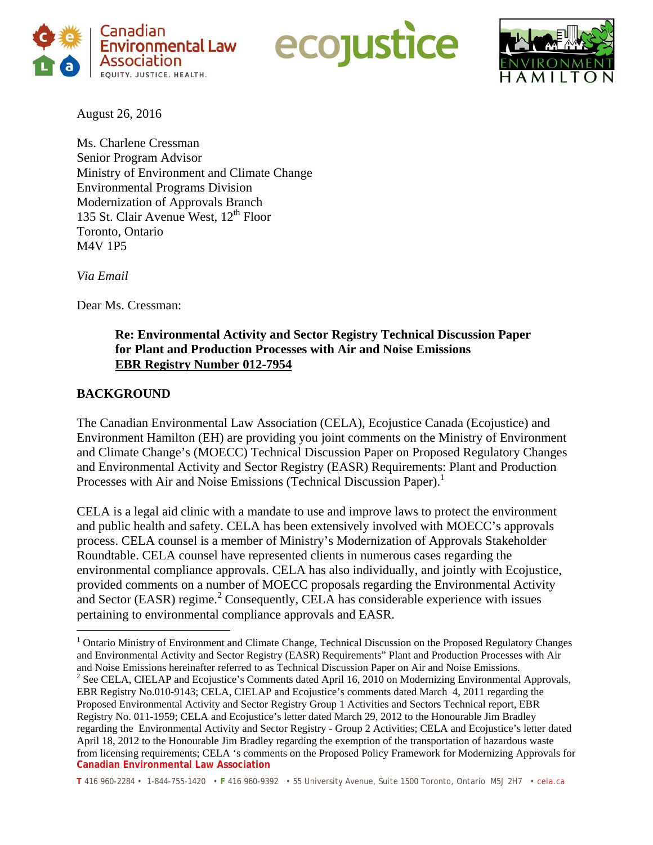





August 26, 2016

Ms. Charlene Cressman Senior Program Advisor Ministry of Environment and Climate Change Environmental Programs Division Modernization of Approvals Branch 135 St. Clair Avenue West,  $12<sup>th</sup>$  Floor Toronto, Ontario M4V 1P5

*Via Email* 

Dear Ms. Cressman:

## **Re: Environmental Activity and Sector Registry Technical Discussion Paper for Plant and Production Processes with Air and Noise Emissions EBR Registry Number 012-7954**

# **BACKGROUND**

The Canadian Environmental Law Association (CELA), Ecojustice Canada (Ecojustice) and Environment Hamilton (EH) are providing you joint comments on the Ministry of Environment and Climate Change's (MOECC) Technical Discussion Paper on Proposed Regulatory Changes and Environmental Activity and Sector Registry (EASR) Requirements: Plant and Production Processes with Air and Noise Emissions (Technical Discussion Paper).<sup>1</sup>

CELA is a legal aid clinic with a mandate to use and improve laws to protect the environment and public health and safety. CELA has been extensively involved with MOECC's approvals process. CELA counsel is a member of Ministry's Modernization of Approvals Stakeholder Roundtable. CELA counsel have represented clients in numerous cases regarding the environmental compliance approvals. CELA has also individually, and jointly with Ecojustice, provided comments on a number of MOECC proposals regarding the Environmental Activity and Sector (EASR) regime.<sup>2</sup> Consequently, CELA has considerable experience with issues pertaining to environmental compliance approvals and EASR.

 $\overline{a}$ <sup>1</sup> Ontario Ministry of Environment and Climate Change, Technical Discussion on the Proposed Regulatory Changes and Environmental Activity and Sector Registry (EASR) Requirements" Plant and Production Processes with Air and Noise Emissions hereinafter referred to as Technical Discussion Paper on Air and Noise Emissions. <sup>2</sup>

**Canadian Environmental Law Association**   $<sup>2</sup>$  See CELA, CIELAP and Ecojustice's Comments dated April 16, 2010 on Modernizing Environmental Approvals,</sup> EBR Registry No.010-9143; CELA, CIELAP and Ecojustice's comments dated March 4, 2011 regarding the Proposed Environmental Activity and Sector Registry Group 1 Activities and Sectors Technical report, EBR Registry No. 011-1959; CELA and Ecojustice's letter dated March 29, 2012 to the Honourable Jim Bradley regarding the Environmental Activity and Sector Registry - Group 2 Activities; CELA and Ecojustice's letter dated April 18, 2012 to the Honourable Jim Bradley regarding the exemption of the transportation of hazardous waste from licensing requirements; CELA 's comments on the Proposed Policy Framework for Modernizing Approvals for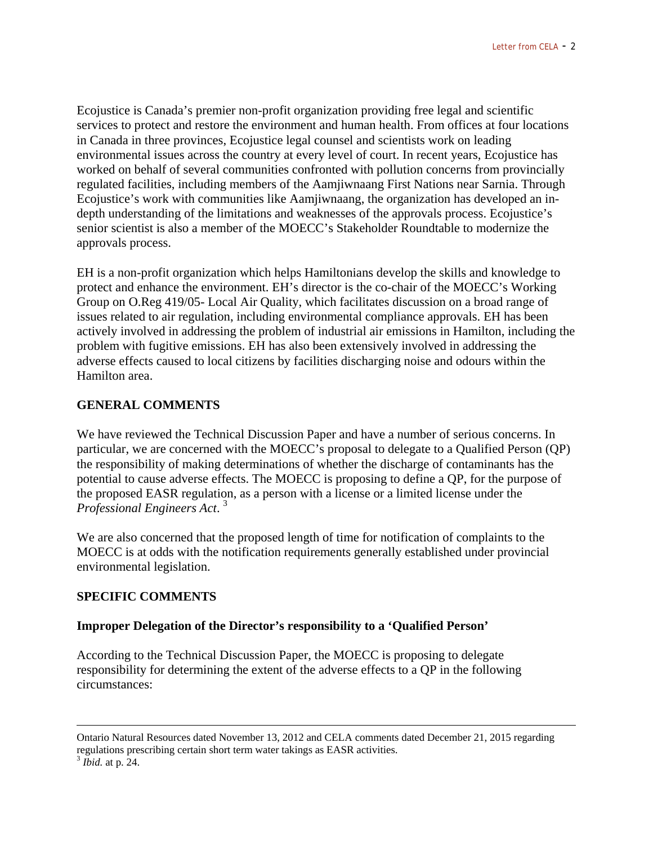Ecojustice is Canada's premier non-profit organization providing free legal and scientific services to protect and restore the environment and human health. From offices at four locations in Canada in three provinces, Ecojustice legal counsel and scientists work on leading environmental issues across the country at every level of court. In recent years, Ecojustice has worked on behalf of several communities confronted with pollution concerns from provincially regulated facilities, including members of the Aamjiwnaang First Nations near Sarnia. Through Ecojustice's work with communities like Aamjiwnaang, the organization has developed an indepth understanding of the limitations and weaknesses of the approvals process. Ecojustice's senior scientist is also a member of the MOECC's Stakeholder Roundtable to modernize the approvals process.

EH is a non-profit organization which helps Hamiltonians develop the skills and knowledge to protect and enhance the environment. EH's director is the co-chair of the MOECC's Working Group on O.Reg 419/05- Local Air Quality, which facilitates discussion on a broad range of issues related to air regulation, including environmental compliance approvals. EH has been actively involved in addressing the problem of industrial air emissions in Hamilton, including the problem with fugitive emissions. EH has also been extensively involved in addressing the adverse effects caused to local citizens by facilities discharging noise and odours within the Hamilton area.

## **GENERAL COMMENTS**

We have reviewed the Technical Discussion Paper and have a number of serious concerns. In particular, we are concerned with the MOECC's proposal to delegate to a Qualified Person (QP) the responsibility of making determinations of whether the discharge of contaminants has the potential to cause adverse effects. The MOECC is proposing to define a QP, for the purpose of the proposed EASR regulation, as a person with a license or a limited license under the *Professional Engineers Act*. 3

We are also concerned that the proposed length of time for notification of complaints to the MOECC is at odds with the notification requirements generally established under provincial environmental legislation.

## **SPECIFIC COMMENTS**

## **Improper Delegation of the Director's responsibility to a 'Qualified Person'**

According to the Technical Discussion Paper, the MOECC is proposing to delegate responsibility for determining the extent of the adverse effects to a QP in the following circumstances:

Ontario Natural Resources dated November 13, 2012 and CELA comments dated December 21, 2015 regarding regulations prescribing certain short term water takings as EASR activities. <sup>3</sup> *Ibid.* at p. 24.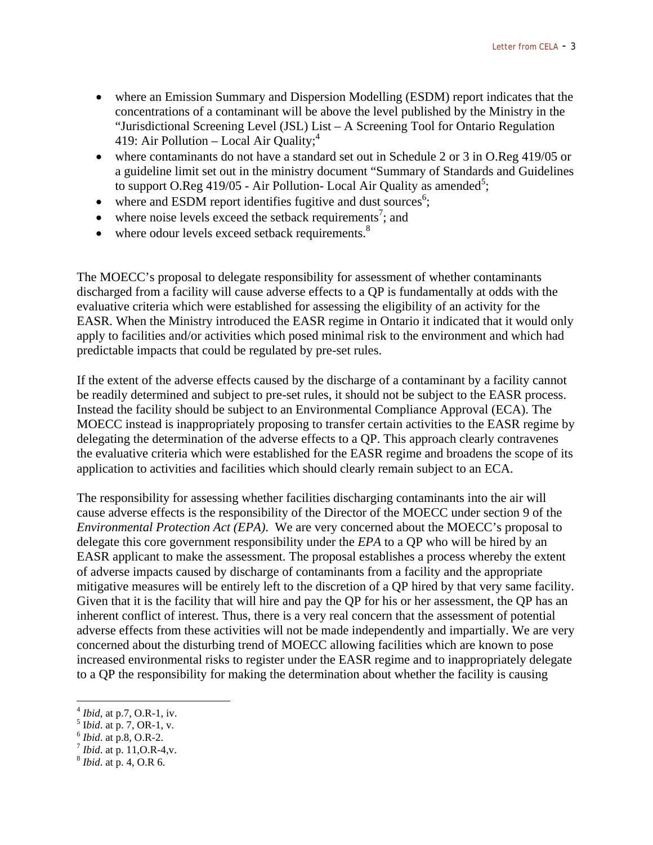- where an Emission Summary and Dispersion Modelling (ESDM) report indicates that the concentrations of a contaminant will be above the level published by the Ministry in the "Jurisdictional Screening Level (JSL) List – A Screening Tool for Ontario Regulation 419: Air Pollution – Local Air Quality; $<sup>4</sup>$ </sup>
- where contaminants do not have a standard set out in Schedule 2 or 3 in O.Reg 419/05 or a guideline limit set out in the ministry document "Summary of Standards and Guidelines to support O.Reg 419/05 - Air Pollution- Local Air Quality as amended<sup>5</sup>;
- $\bullet$  where and ESDM report identifies fugitive and dust sources<sup>6</sup>;
- $\bullet$  where noise levels exceed the setback requirements<sup>7</sup>; and
- where odour levels exceed setback requirements.<sup>8</sup>

The MOECC's proposal to delegate responsibility for assessment of whether contaminants discharged from a facility will cause adverse effects to a QP is fundamentally at odds with the evaluative criteria which were established for assessing the eligibility of an activity for the EASR. When the Ministry introduced the EASR regime in Ontario it indicated that it would only apply to facilities and/or activities which posed minimal risk to the environment and which had predictable impacts that could be regulated by pre-set rules.

If the extent of the adverse effects caused by the discharge of a contaminant by a facility cannot be readily determined and subject to pre-set rules, it should not be subject to the EASR process. Instead the facility should be subject to an Environmental Compliance Approval (ECA). The MOECC instead is inappropriately proposing to transfer certain activities to the EASR regime by delegating the determination of the adverse effects to a QP. This approach clearly contravenes the evaluative criteria which were established for the EASR regime and broadens the scope of its application to activities and facilities which should clearly remain subject to an ECA.

The responsibility for assessing whether facilities discharging contaminants into the air will cause adverse effects is the responsibility of the Director of the MOECC under section 9 of the *Environmental Protection Act (EPA)*. We are very concerned about the MOECC's proposal to delegate this core government responsibility under the *EPA* to a QP who will be hired by an EASR applicant to make the assessment. The proposal establishes a process whereby the extent of adverse impacts caused by discharge of contaminants from a facility and the appropriate mitigative measures will be entirely left to the discretion of a QP hired by that very same facility. Given that it is the facility that will hire and pay the QP for his or her assessment, the QP has an inherent conflict of interest. Thus, there is a very real concern that the assessment of potential adverse effects from these activities will not be made independently and impartially. We are very concerned about the disturbing trend of MOECC allowing facilities which are known to pose increased environmental risks to register under the EASR regime and to inappropriately delegate to a QP the responsibility for making the determination about whether the facility is causing

 $\overline{a}$ 

 $^{4}$ *Ibid*, at p.7, O.R-1, iv.<br> $^{5}$ *Ibid*. at p. 7, OR-1, v.

<sup>I</sup>*bid*. at p. 7, OR-1, v. <sup>6</sup> *Ibid*. at p.8, O.R-2. <sup>7</sup> *Ibid*. at p. 11,O.R-4,v. 8 *Ibid*. at p. 4, O.R 6.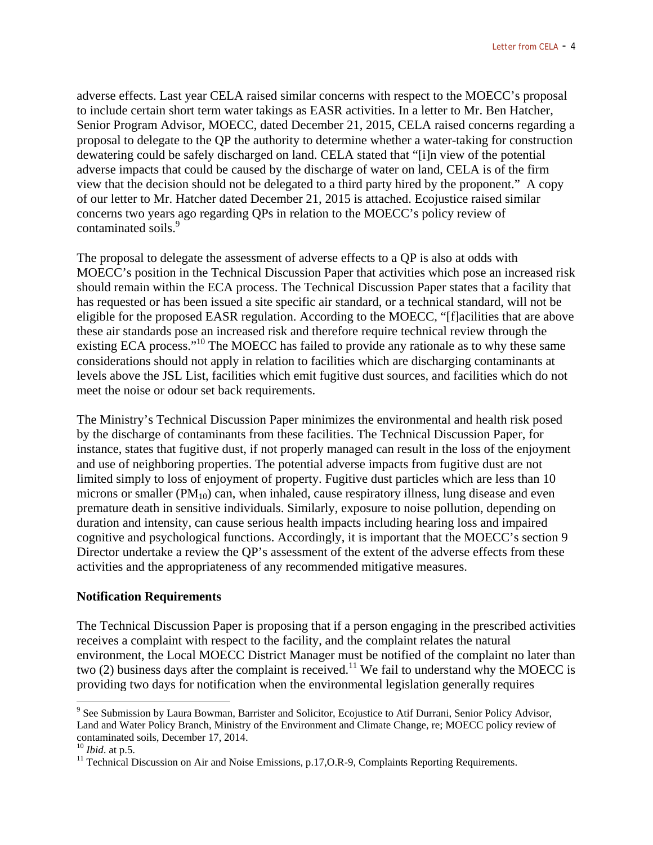adverse effects. Last year CELA raised similar concerns with respect to the MOECC's proposal to include certain short term water takings as EASR activities. In a letter to Mr. Ben Hatcher, Senior Program Advisor, MOECC, dated December 21, 2015, CELA raised concerns regarding a proposal to delegate to the QP the authority to determine whether a water-taking for construction dewatering could be safely discharged on land. CELA stated that "[i]n view of the potential adverse impacts that could be caused by the discharge of water on land, CELA is of the firm view that the decision should not be delegated to a third party hired by the proponent." A copy of our letter to Mr. Hatcher dated December 21, 2015 is attached. Ecojustice raised similar concerns two years ago regarding QPs in relation to the MOECC's policy review of contaminated soils.<sup>9</sup>

The proposal to delegate the assessment of adverse effects to a QP is also at odds with MOECC's position in the Technical Discussion Paper that activities which pose an increased risk should remain within the ECA process. The Technical Discussion Paper states that a facility that has requested or has been issued a site specific air standard, or a technical standard, will not be eligible for the proposed EASR regulation. According to the MOECC, "[f]acilities that are above these air standards pose an increased risk and therefore require technical review through the existing ECA process."<sup>10</sup> The MOECC has failed to provide any rationale as to why these same considerations should not apply in relation to facilities which are discharging contaminants at levels above the JSL List, facilities which emit fugitive dust sources, and facilities which do not meet the noise or odour set back requirements.

The Ministry's Technical Discussion Paper minimizes the environmental and health risk posed by the discharge of contaminants from these facilities. The Technical Discussion Paper, for instance, states that fugitive dust, if not properly managed can result in the loss of the enjoyment and use of neighboring properties. The potential adverse impacts from fugitive dust are not limited simply to loss of enjoyment of property. Fugitive dust particles which are less than 10 microns or smaller  $(PM_{10})$  can, when inhaled, cause respiratory illness, lung disease and even premature death in sensitive individuals. Similarly, exposure to noise pollution, depending on duration and intensity, can cause serious health impacts including hearing loss and impaired cognitive and psychological functions. Accordingly, it is important that the MOECC's section 9 Director undertake a review the QP's assessment of the extent of the adverse effects from these activities and the appropriateness of any recommended mitigative measures.

## **Notification Requirements**

The Technical Discussion Paper is proposing that if a person engaging in the prescribed activities receives a complaint with respect to the facility, and the complaint relates the natural environment, the Local MOECC District Manager must be notified of the complaint no later than two (2) business days after the complaint is received.<sup>11</sup> We fail to understand why the MOECC is providing two days for notification when the environmental legislation generally requires

 $\overline{a}$ 

<sup>&</sup>lt;sup>9</sup> See Submission by Laura Bowman, Barrister and Solicitor, Ecojustice to Atif Durrani, Senior Policy Advisor, Land and Water Policy Branch, Ministry of the Environment and Climate Change, re; MOECC policy review of contaminated soils, December 17, 2014.<br> $^{10}$  *Ibid.* at p.5.

<sup>&</sup>lt;sup>11</sup> Technical Discussion on Air and Noise Emissions, p.17, O.R-9, Complaints Reporting Requirements.